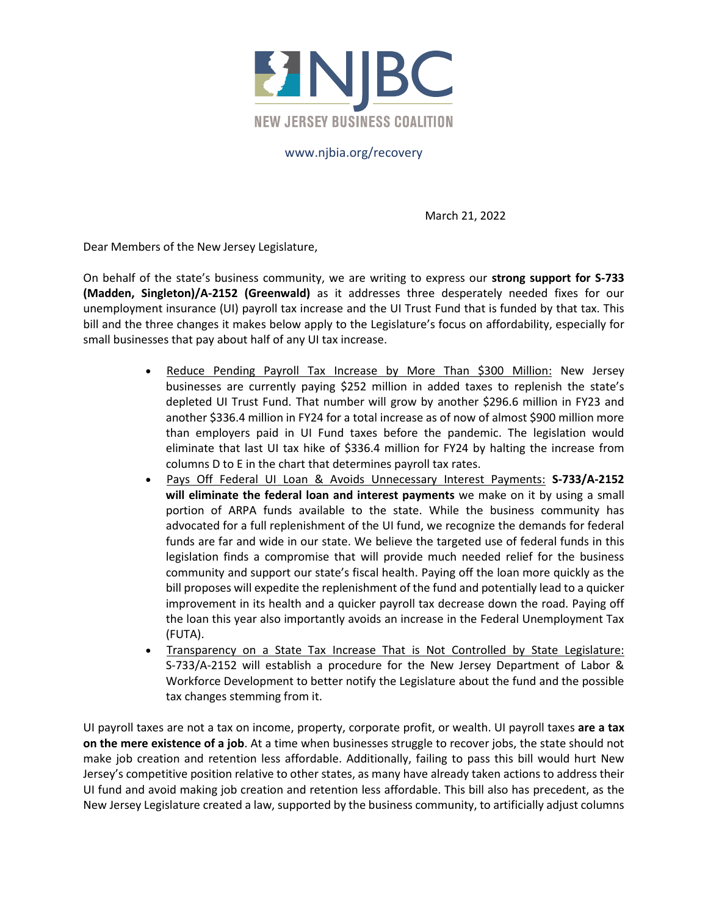

## www.njbia.org/recovery

March 21, 2022

Dear Members of the New Jersey Legislature,

On behalf of the state's business community, we are writing to express our **strong support for S-733 (Madden, Singleton)/A-2152 (Greenwald)** as it addresses three desperately needed fixes for our unemployment insurance (UI) payroll tax increase and the UI Trust Fund that is funded by that tax. This bill and the three changes it makes below apply to the Legislature's focus on affordability, especially for small businesses that pay about half of any UI tax increase.

- Reduce Pending Payroll Tax Increase by More Than \$300 Million: New Jersey businesses are currently paying \$252 million in added taxes to replenish the state's depleted UI Trust Fund. That number will grow by another \$296.6 million in FY23 and another \$336.4 million in FY24 for a total increase as of now of almost \$900 million more than employers paid in UI Fund taxes before the pandemic. The legislation would eliminate that last UI tax hike of \$336.4 million for FY24 by halting the increase from columns D to E in the chart that determines payroll tax rates.
- Pays Off Federal UI Loan & Avoids Unnecessary Interest Payments: **S-733/A-2152 will eliminate the federal loan and interest payments** we make on it by using a small portion of ARPA funds available to the state. While the business community has advocated for a full replenishment of the UI fund, we recognize the demands for federal funds are far and wide in our state. We believe the targeted use of federal funds in this legislation finds a compromise that will provide much needed relief for the business community and support our state's fiscal health. Paying off the loan more quickly as the bill proposes will expedite the replenishment of the fund and potentially lead to a quicker improvement in its health and a quicker payroll tax decrease down the road. Paying off the loan this year also importantly avoids an increase in the Federal Unemployment Tax (FUTA).
- Transparency on a State Tax Increase That is Not Controlled by State Legislature: S-733/A-2152 will establish a procedure for the New Jersey Department of Labor & Workforce Development to better notify the Legislature about the fund and the possible tax changes stemming from it.

UI payroll taxes are not a tax on income, property, corporate profit, or wealth. UI payroll taxes **are a tax on the mere existence of a job**. At a time when businesses struggle to recover jobs, the state should not make job creation and retention less affordable. Additionally, failing to pass this bill would hurt New Jersey's competitive position relative to other states, as many have already taken actions to address their UI fund and avoid making job creation and retention less affordable. This bill also has precedent, as the New Jersey Legislature created a law, supported by the business community, to artificially adjust columns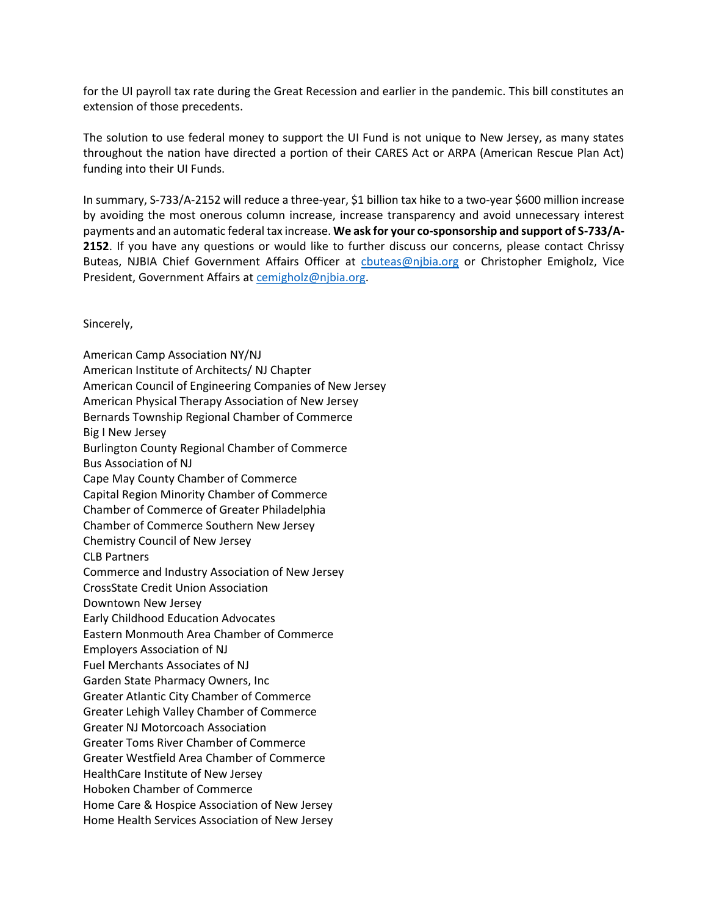for the UI payroll tax rate during the Great Recession and earlier in the pandemic. This bill constitutes an extension of those precedents.

The solution to use federal money to support the UI Fund is not unique to New Jersey, as many states throughout the nation have directed a portion of their CARES Act or ARPA (American Rescue Plan Act) funding into their UI Funds.

In summary, S-733/A-2152 will reduce a three-year, \$1 billion tax hike to a two-year \$600 million increase by avoiding the most onerous column increase, increase transparency and avoid unnecessary interest payments and an automatic federal tax increase. **We ask for your co-sponsorship and support of S-733/A-2152**. If you have any questions or would like to further discuss our concerns, please contact Chrissy Buteas, NJBIA Chief Government Affairs Officer at [cbuteas@njbia.org](mailto:cbuteas@njbia.org) or Christopher Emigholz, Vice President, Government Affairs at [cemigholz@njbia.org.](mailto:cemigholz@njbia.org)

Sincerely,

American Camp Association NY/NJ American Institute of Architects/ NJ Chapter American Council of Engineering Companies of New Jersey American Physical Therapy Association of New Jersey Bernards Township Regional Chamber of Commerce Big I New Jersey Burlington County Regional Chamber of Commerce Bus Association of NJ Cape May County Chamber of Commerce Capital Region Minority Chamber of Commerce Chamber of Commerce of Greater Philadelphia Chamber of Commerce Southern New Jersey Chemistry Council of New Jersey CLB Partners Commerce and Industry Association of New Jersey CrossState Credit Union Association Downtown New Jersey Early Childhood Education Advocates Eastern Monmouth Area Chamber of Commerce Employers Association of NJ Fuel Merchants Associates of NJ Garden State Pharmacy Owners, Inc Greater Atlantic City Chamber of Commerce Greater Lehigh Valley Chamber of Commerce Greater NJ Motorcoach Association Greater Toms River Chamber of Commerce Greater Westfield Area Chamber of Commerce HealthCare Institute of New Jersey Hoboken Chamber of Commerce Home Care & Hospice Association of New Jersey Home Health Services Association of New Jersey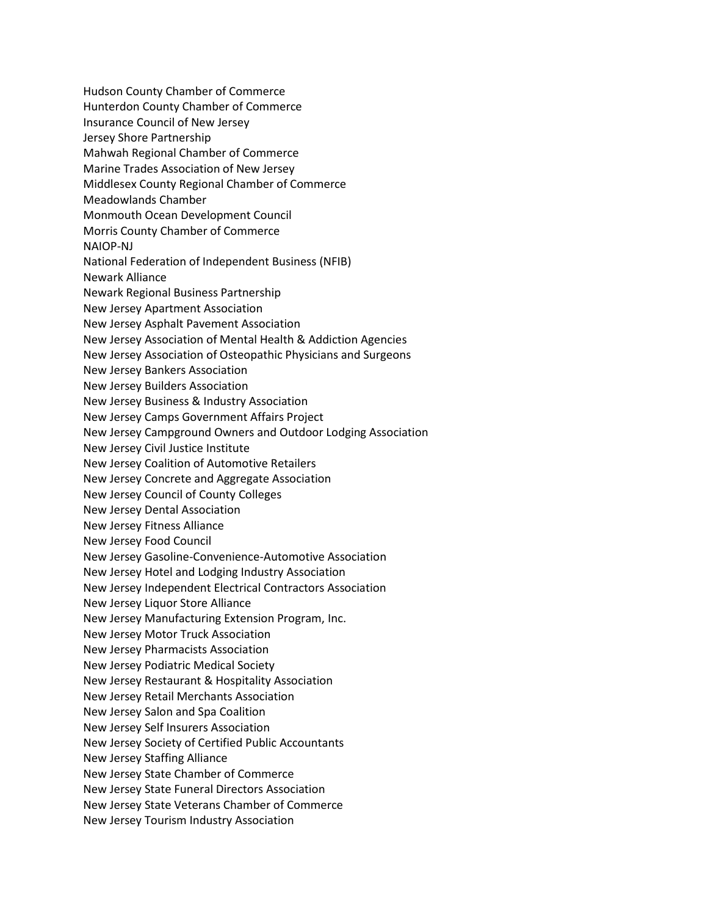Hudson County Chamber of Commerce Hunterdon County Chamber of Commerce Insurance Council of New Jersey Jersey Shore Partnership Mahwah Regional Chamber of Commerce Marine Trades Association of New Jersey Middlesex County Regional Chamber of Commerce Meadowlands Chamber Monmouth Ocean Development Council Morris County Chamber of Commerce NAIOP-NJ National Federation of Independent Business (NFIB) Newark Alliance Newark Regional Business Partnership New Jersey Apartment Association New Jersey Asphalt Pavement Association New Jersey Association of Mental Health & Addiction Agencies New Jersey Association of Osteopathic Physicians and Surgeons New Jersey Bankers Association New Jersey Builders Association New Jersey Business & Industry Association New Jersey Camps Government Affairs Project New Jersey Campground Owners and Outdoor Lodging Association New Jersey Civil Justice Institute New Jersey Coalition of Automotive Retailers New Jersey Concrete and Aggregate Association New Jersey Council of County Colleges New Jersey Dental Association New Jersey Fitness Alliance New Jersey Food Council New Jersey Gasoline-Convenience-Automotive Association New Jersey Hotel and Lodging Industry Association New Jersey Independent Electrical Contractors Association New Jersey Liquor Store Alliance New Jersey Manufacturing Extension Program, Inc. New Jersey Motor Truck Association New Jersey Pharmacists Association New Jersey Podiatric Medical Society New Jersey Restaurant & Hospitality Association New Jersey Retail Merchants Association New Jersey Salon and Spa Coalition New Jersey Self Insurers Association New Jersey Society of Certified Public Accountants New Jersey Staffing Alliance New Jersey State Chamber of Commerce New Jersey State Funeral Directors Association New Jersey State Veterans Chamber of Commerce New Jersey Tourism Industry Association